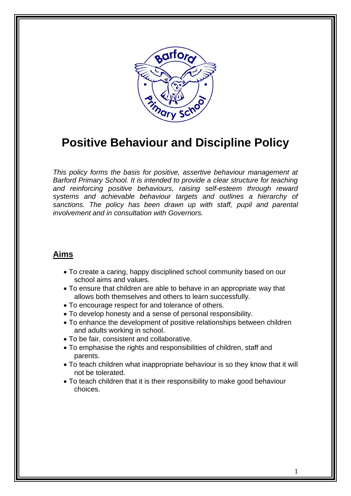

# **Positive Behaviour and Discipline Policy**

*This policy forms the basis for positive, assertive behaviour management at Barford Primary School. It is intended to provide a clear structure for teaching and reinforcing positive behaviours, raising self-esteem through reward systems and achievable behaviour targets and outlines a hierarchy of sanctions. The policy has been drawn up with staff, pupil and parental involvement and in consultation with Governors.*

## **Aims**

- To create a caring, happy disciplined school community based on our school aims and values.
- To ensure that children are able to behave in an appropriate way that allows both themselves and others to learn successfully.
- To encourage respect for and tolerance of others.
- To develop honesty and a sense of personal responsibility.
- To enhance the development of positive relationships between children and adults working in school.
- To be fair, consistent and collaborative.
- To emphasise the rights and responsibilities of children, staff and parents.
- To teach children what inappropriate behaviour is so they know that it will not be tolerated.
- To teach children that it is their responsibility to make good behaviour choices.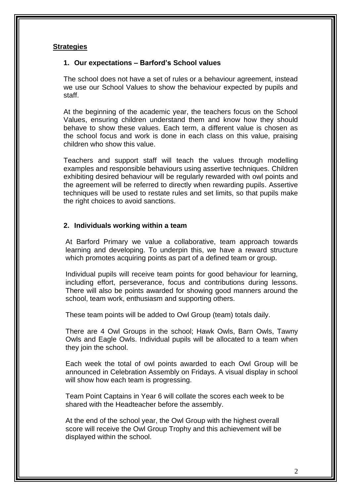#### **Strategies**

#### **1. Our expectations – Barford's School values**

The school does not have a set of rules or a behaviour agreement, instead we use our School Values to show the behaviour expected by pupils and staff.

At the beginning of the academic year, the teachers focus on the School Values, ensuring children understand them and know how they should behave to show these values. Each term, a different value is chosen as the school focus and work is done in each class on this value, praising children who show this value.

Teachers and support staff will teach the values through modelling examples and responsible behaviours using assertive techniques. Children exhibiting desired behaviour will be regularly rewarded with owl points and the agreement will be referred to directly when rewarding pupils. Assertive techniques will be used to restate rules and set limits, so that pupils make the right choices to avoid sanctions.

#### **2. Individuals working within a team**

At Barford Primary we value a collaborative, team approach towards learning and developing. To underpin this, we have a reward structure which promotes acquiring points as part of a defined team or group.

Individual pupils will receive team points for good behaviour for learning, including effort, perseverance, focus and contributions during lessons. There will also be points awarded for showing good manners around the school, team work, enthusiasm and supporting others.

These team points will be added to Owl Group (team) totals daily.

There are 4 Owl Groups in the school; Hawk Owls, Barn Owls, Tawny Owls and Eagle Owls. Individual pupils will be allocated to a team when they join the school.

Each week the total of owl points awarded to each Owl Group will be announced in Celebration Assembly on Fridays. A visual display in school will show how each team is progressing.

Team Point Captains in Year 6 will collate the scores each week to be shared with the Headteacher before the assembly.

At the end of the school year, the Owl Group with the highest overall score will receive the Owl Group Trophy and this achievement will be displayed within the school.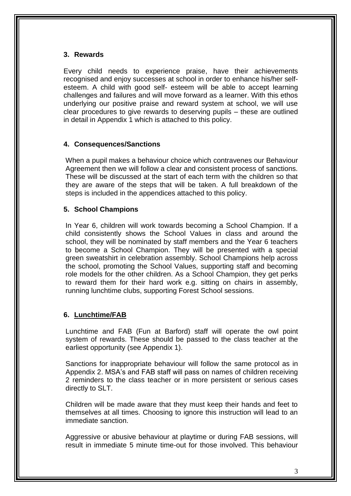## **3. Rewards**

Every child needs to experience praise, have their achievements recognised and enjoy successes at school in order to enhance his/her selfesteem. A child with good self- esteem will be able to accept learning challenges and failures and will move forward as a learner. With this ethos underlying our positive praise and reward system at school, we will use clear procedures to give rewards to deserving pupils – these are outlined in detail in Appendix 1 which is attached to this policy.

## **4. Consequences/Sanctions**

When a pupil makes a behaviour choice which contravenes our Behaviour Agreement then we will follow a clear and consistent process of sanctions. These will be discussed at the start of each term with the children so that they are aware of the steps that will be taken. A full breakdown of the steps is included in the appendices attached to this policy.

## **5. School Champions**

In Year 6, children will work towards becoming a School Champion. If a child consistently shows the School Values in class and around the school, they will be nominated by staff members and the Year 6 teachers to become a School Champion. They will be presented with a special green sweatshirt in celebration assembly. School Champions help across the school, promoting the School Values, supporting staff and becoming role models for the other children. As a School Champion, they get perks to reward them for their hard work e.g. sitting on chairs in assembly, running lunchtime clubs, supporting Forest School sessions.

## **6. Lunchtime/FAB**

Lunchtime and FAB (Fun at Barford) staff will operate the owl point system of rewards. These should be passed to the class teacher at the earliest opportunity (see Appendix 1).

Sanctions for inappropriate behaviour will follow the same protocol as in Appendix 2. MSA's and FAB staff will pass on names of children receiving 2 reminders to the class teacher or in more persistent or serious cases directly to SLT.

Children will be made aware that they must keep their hands and feet to themselves at all times. Choosing to ignore this instruction will lead to an immediate sanction.

Aggressive or abusive behaviour at playtime or during FAB sessions, will result in immediate 5 minute time-out for those involved. This behaviour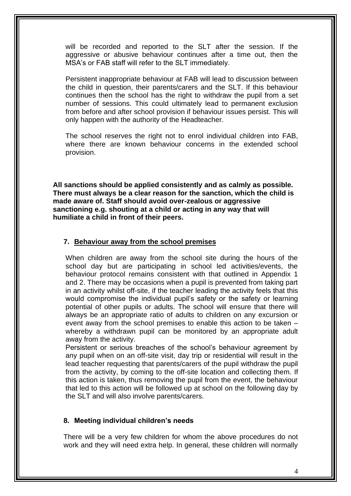will be recorded and reported to the SLT after the session. If the aggressive or abusive behaviour continues after a time out, then the MSA's or FAB staff will refer to the SLT immediately.

Persistent inappropriate behaviour at FAB will lead to discussion between the child in question, their parents/carers and the SLT. If this behaviour continues then the school has the right to withdraw the pupil from a set number of sessions. This could ultimately lead to permanent exclusion from before and after school provision if behaviour issues persist. This will only happen with the authority of the Headteacher.

The school reserves the right not to enrol individual children into FAB, where there are known behaviour concerns in the extended school provision.

**All sanctions should be applied consistently and as calmly as possible. There must always be a clear reason for the sanction, which the child is made aware of. Staff should avoid over-zealous or aggressive sanctioning e.g. shouting at a child or acting in any way that will humiliate a child in front of their peers.**

#### **7. Behaviour away from the school premises**

When children are away from the school site during the hours of the school day but are participating in school led activities/events, the behaviour protocol remains consistent with that outlined in Appendix 1 and 2. There may be occasions when a pupil is prevented from taking part in an activity whilst off-site, if the teacher leading the activity feels that this would compromise the individual pupil's safety or the safety or learning potential of other pupils or adults. The school will ensure that there will always be an appropriate ratio of adults to children on any excursion or event away from the school premises to enable this action to be taken – whereby a withdrawn pupil can be monitored by an appropriate adult away from the activity.

Persistent or serious breaches of the school's behaviour agreement by any pupil when on an off-site visit, day trip or residential will result in the lead teacher requesting that parents/carers of the pupil withdraw the pupil from the activity, by coming to the off-site location and collecting them. If this action is taken, thus removing the pupil from the event, the behaviour that led to this action will be followed up at school on the following day by the SLT and will also involve parents/carers.

#### **8. Meeting individual children's needs**

There will be a very few children for whom the above procedures do not work and they will need extra help. In general, these children will normally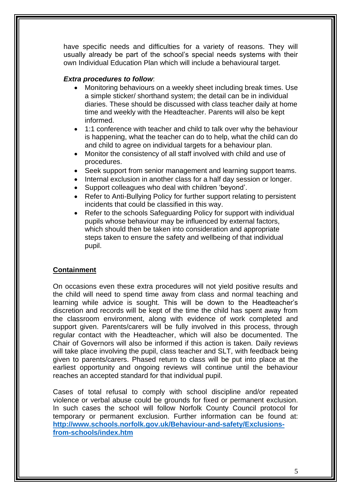have specific needs and difficulties for a variety of reasons. They will usually already be part of the school's special needs systems with their own Individual Education Plan which will include a behavioural target.

## *Extra procedures to follow*:

- Monitoring behaviours on a weekly sheet including break times. Use a simple sticker/ shorthand system; the detail can be in individual diaries. These should be discussed with class teacher daily at home time and weekly with the Headteacher. Parents will also be kept informed.
- 1:1 conference with teacher and child to talk over why the behaviour is happening, what the teacher can do to help, what the child can do and child to agree on individual targets for a behaviour plan.
- Monitor the consistency of all staff involved with child and use of procedures.
- Seek support from senior management and learning support teams.
- Internal exclusion in another class for a half day session or longer.
- Support colleagues who deal with children 'beyond'.
- Refer to Anti-Bullying Policy for further support relating to persistent incidents that could be classified in this way.
- Refer to the schools Safeguarding Policy for support with individual pupils whose behaviour may be influenced by external factors, which should then be taken into consideration and appropriate steps taken to ensure the safety and wellbeing of that individual pupil.

## **Containment**

On occasions even these extra procedures will not yield positive results and the child will need to spend time away from class and normal teaching and learning while advice is sought. This will be down to the Headteacher's discretion and records will be kept of the time the child has spent away from the classroom environment, along with evidence of work completed and support given. Parents/carers will be fully involved in this process, through regular contact with the Headteacher, which will also be documented. The Chair of Governors will also be informed if this action is taken. Daily reviews will take place involving the pupil, class teacher and SLT, with feedback being given to parents/carers. Phased return to class will be put into place at the earliest opportunity and ongoing reviews will continue until the behaviour reaches an accepted standard for that individual pupil.

Cases of total refusal to comply with school discipline and/or repeated violence or verbal abuse could be grounds for fixed or permanent exclusion. In such cases the school will follow Norfolk County Council protocol for temporary or permanent exclusion. Further information can be found at: **[http://www.schools.norfolk.gov.uk/Behaviour-and-safety/Exclusions](http://www.schools.norfolk.gov.uk/Behaviour-and-safety/Exclusions-from-schools/index.htm)[from-schools/index.htm](http://www.schools.norfolk.gov.uk/Behaviour-and-safety/Exclusions-from-schools/index.htm)**